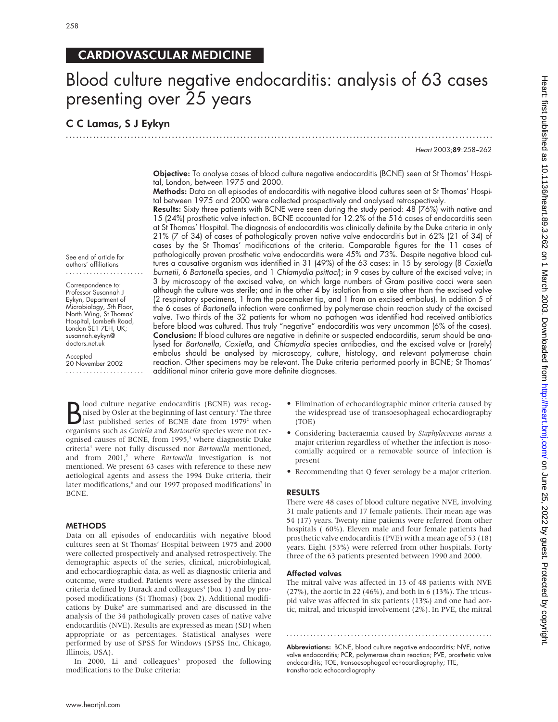# CARDIOVASCULAR MEDICINE

# Blood culture negative endocarditis: analysis of 63 cases presenting over 25 years

## C C Lamas, S J Eykyn

Heart 2003;89:258–262

Objective: To analyse cases of blood culture negative endocarditis (BCNE) seen at St Thomas' Hospital, London, between 1975 and 2000.

.............................................................................................................................

Methods: Data on all episodes of endocarditis with negative blood cultures seen at St Thomas' Hospital between 1975 and 2000 were collected prospectively and analysed retrospectively.

Results: Sixty three patients with BCNE were seen during the study period: 48 (76%) with native and 15 (24%) prosthetic valve infection. BCNE accounted for 12.2% of the 516 cases of endocarditis seen at St Thomas' Hospital. The diagnosis of endocarditis was clinically definite by the Duke criteria in only 21% (7 of 34) of cases of pathologically proven native valve endocarditis but in 62% (21 of 34) of cases by the St Thomas' modifications of the criteria. Comparable figures for the 11 cases of pathologically proven prosthetic valve endocarditis were 45% and 73%. Despite negative blood cultures a causative organism was identified in 31 (49%) of the 63 cases: in 15 by serology (8 Coxiella burnetii, 6 Bartonella species, and 1 Chlamydia psittaci); in 9 cases by culture of the excised valve; in 3 by microscopy of the excised valve, on which large numbers of Gram positive cocci were seen although the culture was sterile; and in the other 4 by isolation from a site other than the excised valve (2 respiratory specimens, 1 from the pacemaker tip, and 1 from an excised embolus). In addition 5 of the 6 cases of Bartonella infection were confirmed by polymerase chain reaction study of the excised valve. Two thirds of the 32 patients for whom no pathogen was identified had received antibiotics before blood was cultured. Thus truly "negative" endocarditis was very uncommon (6% of the cases). Conclusion: If blood cultures are negative in definite or suspected endocarditis, serum should be analysed for Bartonella, Coxiella, and Chlamydia species antibodies, and the excised valve or (rarely) embolus should be analysed by microscopy, culture, histology, and relevant polymerase chain reaction. Other specimens may be relevant. The Duke criteria performed poorly in BCNE; St Thomas' additional minor criteria gave more definite diagnoses.

See end of article for authors' affiliations .......................

Correspondence to: Professor Susannah J Eykyn, Department of Microbiology, 5th Floor, North Wing, St Thomas' Hospital, Lambeth Road, London SE1 7EH, UK; susannah.eykyn@ doctors.net.uk

Accepted 20 November 2002 .......................

**B** lood culture negative endocarditis (BCNE) was recog-<br>hised by Osler at the beginning of last century.<sup>1</sup> The three<br>last published series of BCNE date from 1979<sup>2</sup> when lood culture negative endocarditis (BCNE) was recognised by Osler at the beginning of last century.<sup>1</sup> The three organisms such as *Coxiella* and *Bartonella* species were not recognised causes of BCNE, from 1995,<sup>3</sup> where diagnostic Duke criteria4 were not fully discussed nor *Bartonella* mentioned, and from 2001,<sup>5</sup> where *Bartonella* investigation is not mentioned. We present 63 cases with reference to these new aetiological agents and assess the 1994 Duke criteria, their later modifications,<sup>6</sup> and our 1997 proposed modifications<sup>7</sup> in BCNE.

#### **METHODS**

Data on all episodes of endocarditis with negative blood cultures seen at St Thomas' Hospital between 1975 and 2000 were collected prospectively and analysed retrospectively. The demographic aspects of the series, clinical, microbiological, and echocardiographic data, as well as diagnostic criteria and outcome, were studied. Patients were assessed by the clinical criteria defined by Durack and colleagues<sup> $4$ </sup> (box 1) and by proposed modifications (St Thomas) (box 2). Additional modifications by Duke<sup>6</sup> are summarised and are discussed in the analysis of the 34 pathologically proven cases of native valve endocarditis (NVE). Results are expressed as mean (SD) when appropriate or as percentages. Statistical analyses were performed by use of SPSS for Windows (SPSS Inc, Chicago, Illinois, USA).

In 2000, Li and colleagues<sup>6</sup> proposed the following modifications to the Duke criteria:

- Elimination of echocardiographic minor criteria caused by the widespread use of transoesophageal echocardiography (TOE)
- Considering bacteraemia caused by *Staphylococcus aureus* a major criterion regardless of whether the infection is nosocomially acquired or a removable source of infection is present
- Recommending that Q fever serology be a major criterion.

#### RESULTS

There were 48 cases of blood culture negative NVE, involving 31 male patients and 17 female patients. Their mean age was 54 (17) years. Twenty nine patients were referred from other hospitals ( 60%). Eleven male and four female patients had prosthetic valve endocarditis (PVE) with a mean age of 53 (18) years. Eight (53%) were referred from other hospitals. Forty three of the 63 patients presented between 1990 and 2000.

#### Affected valves

The mitral valve was affected in 13 of 48 patients with NVE (27%), the aortic in 22 (46%), and both in 6 (13%). The tricuspid valve was affected in six patients (13%) and one had aortic, mitral, and tricuspid involvement (2%). In PVE, the mitral

Abbreviations: BCNE, blood culture negative endocarditis; NVE, native valve endocarditis; PCR, polymerase chain reaction; PVE, prosthetic valve endocarditis; TOE, transoesophageal echocardiography; TTE, transthoracic echocardiography

.............................................................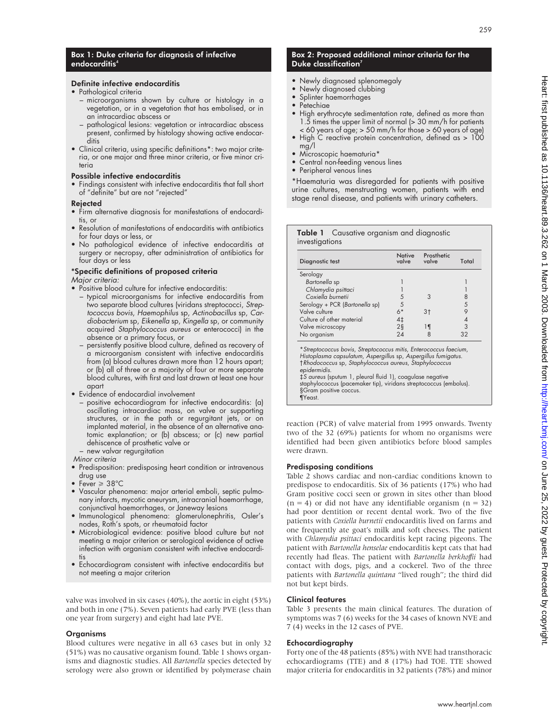#### Box 1: Duke criteria for diagnosis of infective endocarditis<sup>4</sup>

#### Definite infective endocarditis

- Pathological criteria
	- microorganisms shown by culture or histology in a vegetation, or in a vegetation that has embolised, or in an intracardiac abscess or
	- pathological lesions: vegetation or intracardiac abscess present, confirmed by histology showing active endocarditis
- Clinical criteria, using specific definitions\*: two major criteria, or one major and three minor criteria, or five minor criteria

#### Possible infective endocarditis

• Findings consistent with infective endocarditis that fall short of "definite" but are not "rejected"

#### Rejected

- Firm alternative diagnosis for manifestations of endocarditis, or
- Resolution of manifestations of endocarditis with antibiotics for four days or less, or
- No pathological evidence of infective endocarditis at surgery or necropsy, after administration of antibiotics for four days or less

## \*Specific definitions of proposed criteria

Major criteria:

- Positive blood culture for infective endocarditis: – typical microorganisms for infective endocarditis from two separate blood cultures (viridans streptococci, Strep
	- tococcus bovis, Haemophilus sp, Actinobacillus sp, Cardiobacterium sp, Eikenella sp, Kingella sp, or community acquired Staphylococcus aureus or enterococci) in the absence or a primary focus, or
	- persistently positive blood culture, defined as recovery of a microorganism consistent with infective endocarditis from (a) blood cultures drawn more than 12 hours apart; or (b) all of three or a majority of four or more separate blood cultures, with first and last drawn at least one hour apart
- Evidence of endocardial involvement
	- positive echocardiogram for infective endocarditis: (a) oscillating intracardiac mass, on valve or supporting structures, or in the path or regurgitant jets, or on implanted material, in the absence of an alternative anatomic explanation; or (b) abscess; or (c) new partial dehiscence of prosthetic valve or
- new valvar regurgitation Minor criteria
- Predisposition: predisposing heart condition or intravenous drug use
- Fever  $\geq 38^{\circ}$ C
- Vascular phenomena: major arterial emboli, septic pulmonary infarcts, mycotic aneurysm, intracranial haemorrhage, conjunctival haemorrhages, or Janeway lesions
- Immunological phenomena: glomerulonephritis, Osler's nodes, Roth's spots, or rheumatoid factor
- Microbiological evidence: positive blood culture but not meeting a major criterion or serological evidence of active infection with organism consistent with infective endocarditis
- Echocardiogram consistent with infective endocarditis but not meeting a major criterion

valve was involved in six cases (40%), the aortic in eight (53%) and both in one (7%). Seven patients had early PVE (less than one year from surgery) and eight had late PVE.

#### **Organisms**

Blood cultures were negative in all 63 cases but in only 32 (51%) was no causative organism found. Table 1 shows organisms and diagnostic studies. All *Bartonella* species detected by serology were also grown or identified by polymerase chain

#### Box 2: Proposed additional minor criteria for the Duke classification<sup>7</sup>

- Newly diagnosed splenomegaly<br>• Newly diagnosed clubbing
- Newly diagnosed clubbing
- Splinter haemorrhages
- Petechiae
- High erythrocyte sedimentation rate, defined as more than 1.5 times the upper limit of normal (> 30 mm/h for patients < 60 years of age; > 50 mm/h for those > 60 years of age)
- High C reactive protein concentration, defined as > 100 mg/l
- Microscopic haematuria\*
- Central non-feeding venous lines
- Peripheral venous lines

\*Haematuria was disregarded for patients with positive urine cultures, menstruating women, patients with end stage renal disease, and patients with urinary catheters.

|                | Table 1 Causative organism and diagnostic |  |
|----------------|-------------------------------------------|--|
| investigations |                                           |  |
|                |                                           |  |

| Diagnostic test                                                                                                                    | <b>Native</b><br>valve | Prosthetic<br>valve | Total |
|------------------------------------------------------------------------------------------------------------------------------------|------------------------|---------------------|-------|
| Serology                                                                                                                           |                        |                     |       |
| Bartonella sp                                                                                                                      |                        |                     |       |
| Chlamydia psittaci                                                                                                                 |                        |                     |       |
| Coxiella burnetii                                                                                                                  | 5                      | 3                   | 8     |
| Serology + PCR (Bartonella sp)                                                                                                     | 5                      |                     | 5     |
| Valve culture                                                                                                                      | $6*$                   | 3†                  | 9     |
| Culture of other material                                                                                                          | 4‡                     |                     | 4     |
| Valve microscopy                                                                                                                   | $2\S$                  | 1 ¶                 | 3     |
| No organism                                                                                                                        | 24                     |                     | 32    |
| *Streptococcus bovis, Streptococcus mitis, Enterococcus faecium,<br>Histoplasma capsulatum, Aspergillus sp, Aspergillus fumigatus. |                        |                     |       |

Histoplasma capsulatum, Aspergillus sp, Aspergillus fumigatus. †Rhodococcus sp, Staphylococcus aureus, Staphylococcus epidermidis. ‡S aureus (sputum 1, pleural fluid 1), coagulase negative

staphylococcus (pacemaker tip), viridans streptococcus (embolus). §Gram positive coccus. ¶Yeast.

reaction (PCR) of valve material from 1995 onwards. Twenty two of the 32 (69%) patients for whom no organisms were identified had been given antibiotics before blood samples were drawn.

#### Predisposing conditions

Table 2 shows cardiac and non-cardiac conditions known to predispose to endocarditis. Six of 36 patients (17%) who had Gram positive cocci seen or grown in sites other than blood  $(n = 4)$  or did not have any identifiable organism  $(n = 32)$ had poor dentition or recent dental work. Two of the five patients with *Coxiella burnetii* endocarditis lived on farms and one frequently ate goat's milk and soft cheeses. The patient with *Chlamydia psittaci* endocarditis kept racing pigeons. The patient with *Bartonella henselae* endocarditis kept cats that had recently had fleas. The patient with *Bartonella berkhoffii* had contact with dogs, pigs, and a cockerel. Two of the three patients with *Bartonella quintana* "lived rough"; the third did not but kept birds.

#### Clinical features

Table 3 presents the main clinical features. The duration of symptoms was 7 (6) weeks for the 34 cases of known NVE and 7 (4) weeks in the 12 cases of PVE.

#### Echocardiography

Forty one of the 48 patients (85%) with NVE had transthoracic echocardiograms (TTE) and 8 (17%) had TOE. TTE showed major criteria for endocarditis in 32 patients (78%) and minor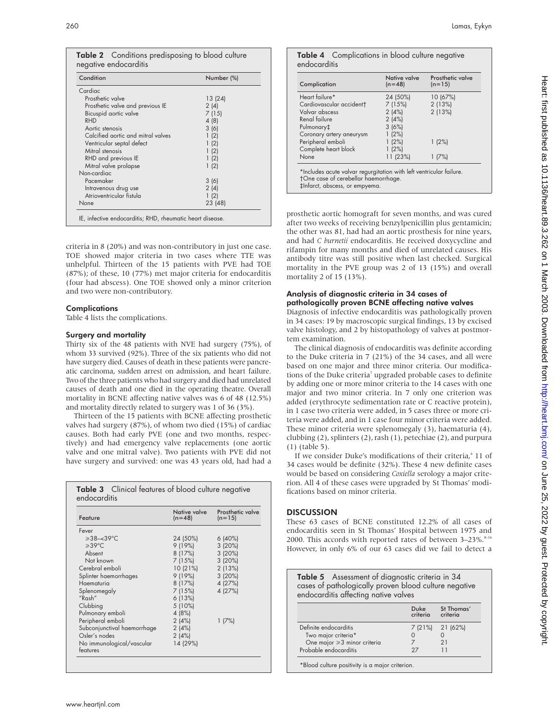| <b>Table 2</b> Conditions predisposing to blood culture<br>negative endocarditis         |                         |
|------------------------------------------------------------------------------------------|-------------------------|
| Condition                                                                                | Number (%)              |
| Cardiac<br>Prosthetic valve<br>Prosthetic valve and previous IE<br>Bicuspid aortic valve | 13(24)<br>2(4)<br>7(15) |

| 4(8)    |  |
|---------|--|
|         |  |
| 3(6)    |  |
| 1(2)    |  |
| 1(2)    |  |
| 1(2)    |  |
| 1(2)    |  |
| 1(2)    |  |
|         |  |
| 3(6)    |  |
| 2(4)    |  |
| 1(2)    |  |
| 23 (48) |  |
|         |  |

criteria in 8 (20%) and was non-contributory in just one case. TOE showed major criteria in two cases where TTE was unhelpful. Thirteen of the 15 patients with PVE had TOE (87%); of these, 10 (77%) met major criteria for endocarditis (four had abscess). One TOE showed only a minor criterion and two were non-contributory.

#### **Complications**

Table 4 lists the complications.

#### Surgery and mortality

Thirty six of the 48 patients with NVE had surgery (75%), of whom 33 survived (92%). Three of the six patients who did not have surgery died. Causes of death in these patients were pancreatic carcinoma, sudden arrest on admission, and heart failure. Two of the three patients who had surgery and died had unrelated causes of death and one died in the operating theatre. Overall mortality in BCNE affecting native valves was 6 of 48 (12.5%) and mortality directly related to surgery was 1 of 36 (3%).

Thirteen of the 15 patients with BCNE affecting prosthetic valves had surgery (87%), of whom two died (15%) of cardiac causes. Both had early PVE (one and two months, respectively) and had emergency valve replacements (one aortic valve and one mitral valve). Two patients with PVE did not have surgery and survived: one was 43 years old, had had a

| Feature                     | Native valve<br>$(n=48)$ | Prosthetic valve<br>$(n=15)$ |
|-----------------------------|--------------------------|------------------------------|
| Fever                       |                          |                              |
| $\geqslant$ 38-<39 °C       | 24 (50%)                 | 6(40%)                       |
| $\geq$ 39°C.                | 9(19%)                   | 3(20%)                       |
| Absent                      | 8(17%)                   | 3(20%)                       |
| Not known                   | 7(15%)                   | 3(20%)                       |
| Cerebral emboli             | 10(21%)                  | 2(13%)                       |
| Splinter haemorrhages       | 9(19%)                   | 3(20%)                       |
| Haematuria                  | 8(17%)                   | 4 (27%)                      |
| Splenomegaly                | 7(15%)                   | 4 (27%)                      |
| "Rash"                      | 6(13%)                   |                              |
| Clubbing                    | 5 (10%)                  |                              |
| Pulmonary emboli            | 4 (8%)                   |                              |
| Peripheral emboli           | 2(4%)                    | 1(7%)                        |
| Subconjunctival haemorrhage | 2(4%)                    |                              |
| Osler's nodes               | 2(4%)                    |                              |
| No immunological/vascular   | 14 (29%)                 |                              |

#### Table 4 Complications in blood culture negative endocarditis

| Complication                         | Native valve<br>$(n=48)$ | Prosthetic valve<br>$(n=15)$ |
|--------------------------------------|--------------------------|------------------------------|
| Heart failure*                       | 24 (50%)                 | 10 (67%)                     |
| Cardiovascular accident <sup>†</sup> | 7(15%)                   | 2(13%)                       |
| Valvar abscess                       | 2(4%)                    | 2(13%)                       |
| Renal failure                        | 2(4%)                    |                              |
| Pulmonary‡                           | 3(6%)                    |                              |
| Coronary artery aneurysm             | 1(2%)                    |                              |
| Peripheral emboli                    | 1(2%)                    | 1(2%)                        |
| Complete heart block                 | 1(2%)                    |                              |
| None                                 | 11 (23%)                 | 1(7%)                        |

prosthetic aortic homograft for seven months, and was cured after two weeks of receiving benzylpenicillin plus gentamicin; the other was 81, had had an aortic prosthesis for nine years, and had *C burnetii* endocarditis. He received doxycycline and rifampin for many months and died of unrelated causes. His antibody titre was still positive when last checked. Surgical mortality in the PVE group was 2 of 13 (15%) and overall mortality 2 of 15 (13%).

#### Analysis of diagnostic criteria in 34 cases of pathologically proven BCNE affecting native valves

Diagnosis of infective endocarditis was pathologically proven in 34 cases: 19 by macroscopic surgical findings, 13 by excised valve histology, and 2 by histopathology of valves at postmortem examination.

The clinical diagnosis of endocarditis was definite according to the Duke criteria in 7 (21%) of the 34 cases, and all were based on one major and three minor criteria. Our modifications of the Duke criteria<sup>7</sup> upgraded probable cases to definite by adding one or more minor criteria to the 14 cases with one major and two minor criteria. In 7 only one criterion was added (erythrocyte sedimentation rate or C reactive protein), in 1 case two criteria were added, in 5 cases three or more criteria were added, and in 1 case four minor criteria were added. These minor criteria were splenomegaly (3), haematuria (4), clubbing (2), splinters (2), rash (1), petechiae (2), and purpura (1) (table 5).

If we consider Duke's modifications of their criteria,<sup>6</sup> 11 of 34 cases would be definite (32%). These 4 new definite cases would be based on considering *Coxiella* serology a major criterion. All 4 of these cases were upgraded by St Thomas' modifications based on minor criteria.

### **DISCUSSION**

These 63 cases of BCNE constituted 12.2% of all cases of endocarditis seen in St Thomas' Hospital between 1975 and 2000. This accords with reported rates of between  $3-23\%$ .<sup>8-16</sup> However, in only 6% of our 63 cases did we fail to detect a

Table 5 Assessment of diagnostic criteria in 34 cases of pathologically proven blood culture negative endocarditis affecting native valves

|                             | Duke<br>criteria | St Thomas'<br>criteria |
|-----------------------------|------------------|------------------------|
| Definite endocarditis       |                  | 7 (21%) 21 (62%)       |
| Two major criteria*         |                  |                        |
| One major ≥3 minor criteria |                  | 21                     |
| Probable endocarditis       | $\cdot$ ') /     |                        |

\*Blood culture positivity is a major criterion.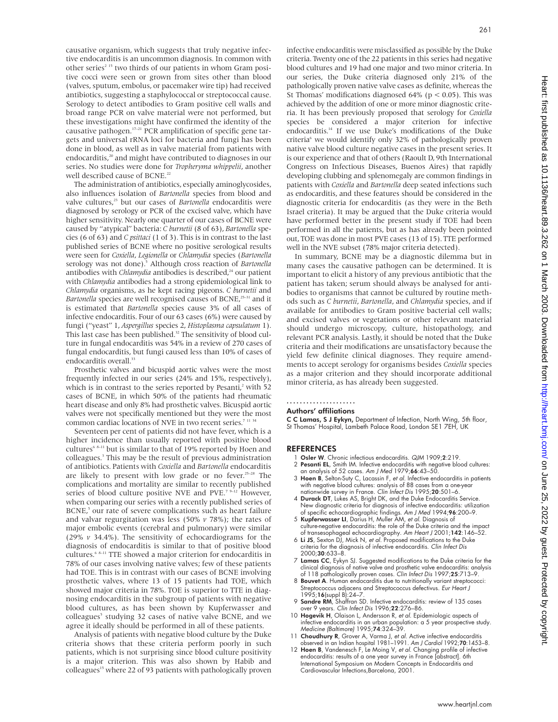causative organism, which suggests that truly negative infective endocarditis is an uncommon diagnosis. In common with other series<sup>2 15</sup> two thirds of our patients in whom Gram positive cocci were seen or grown from sites other than blood (valves, sputum, embolus, or pacemaker wire tip) had received antibiotics, suggesting a staphylococcal or streptococcal cause. Serology to detect antibodies to Gram positive cell walls and broad range PCR on valve material were not performed, but these investigations might have confirmed the identity of the causative pathogen.17–21 PCR amplification of specific gene targets and universal rRNA loci for bacteria and fungi has been done in blood, as well as in valve material from patients with endocarditis,<sup>20</sup> and might have contributed to diagnoses in our series. No studies were done for *Tropheryma whippelii*, another well described cause of BCNE.<sup>22</sup>

The administration of antibiotics, especially aminoglycosides, also influences isolation of *Bartonella* species from blood and valve cultures,<sup>23</sup> but our cases of *Bartonella* endocarditis were diagnosed by serology or PCR of the excised valve, which have higher sensitivity. Nearly one quarter of our cases of BCNE were caused by "atypical" bacteria: *C burnetii* (8 of 63), *Bartonella* species (6 of 63) and *C psittaci* (1 of 3). This is in contrast to the last published series of BCNE where no positive serological results were seen for *Coxiella*, *Legionella* or *Chlamydia* species (*Bartonella* serology was not done).<sup>5</sup> Although cross reaction of *Bartonella* antibodies with *Chlamydia* antibodies is described,<sup>24</sup> our patient with *Chlamydia* antibodies had a strong epidemiological link to *Chlamydia* organisms, as he kept racing pigeons. *C burnetii* and *Bartonella* species are well recognised causes of BCNE,<sup>25-31</sup> and it is estimated that *Bartonella* species cause 3% of all cases of infective endocarditis. Four of our 63 cases (6%) were caused by fungi ("yeast" 1, *Aspergillus* species 2, *Histoplasma capsulatum* 1). This last case has been published.<sup>32</sup> The sensitivity of blood culture in fungal endocarditis was 54% in a review of 270 cases of fungal endocarditis, but fungi caused less than 10% of cases of endocarditis overall.<sup>33</sup>

Prosthetic valves and bicuspid aortic valves were the most frequently infected in our series (24% and 15%, respectively), which is in contrast to the series reported by Pesanti, $2$  with 52 cases of BCNE, in which 50% of the patients had rheumatic heart disease and only 8% had prosthetic valves. Bicuspid aortic valves were not specifically mentioned but they were the most common cardiac locations of NVE in two recent series.<sup>7 11</sup>

Seventeen per cent of patients did not have fever, which is a higher incidence than usually reported with positive blood cultures<sup>6 8-11</sup> but is similar to that of 19% reported by Hoen and colleagues.3 This may be the result of previous administration of antibiotics. Patients with *Coxiella* and *Bartonella* endocarditis are likely to present with low grade or no fever.<sup>25-28</sup> The complications and mortality are similar to recently published series of blood culture positive NVE and PVE.<sup>7 9–12</sup> However, when comparing our series with a recently published series of BCNE,<sup>5</sup> our rate of severe complications such as heart failure and valvar regurgitation was less (50% *v* 78%); the rates of major embolic events (cerebral and pulmonary) were similar (29% *v* 34.4%). The sensitivity of echocardiograms for the diagnosis of endocarditis is similar to that of positive blood cultures.6 8–11 TTE showed a major criterion for endocarditis in 78% of our cases involving native valves; few of these patients had TOE. This is in contrast with our cases of BCNE involving prosthetic valves, where 13 of 15 patients had TOE, which showed major criteria in 78%. TOE is superior to TTE in diagnosing endocarditis in the subgroup of patients with negative blood cultures, as has been shown by Kupferwasser and colleagues<sup>5</sup> studying 32 cases of native valve BCNE, and we agree it ideally should be performed in all of these patients.

Analysis of patients with negative blood culture by the Duke criteria shows that these criteria perform poorly in such patients, which is not surprising since blood culture positivity is a major criterion. This was also shown by Habib and colleagues<sup>15</sup> where 22 of 93 patients with pathologically proven

infective endocarditis were misclassified as possible by the Duke criteria. Twenty one of the 22 patients in this series had negative blood cultures and 19 had one major and two minor criteria. In our series, the Duke criteria diagnosed only 21% of the pathologically proven native valve cases as definite, whereas the St Thomas' modifications diagnosed 64% ( $p < 0.05$ ). This was achieved by the addition of one or more minor diagnostic criteria. It has been previously proposed that serology for *Coxiella* species be considered a major criterion for infective endocarditis.14 If we use Duke's modifications of the Duke criteria<sup>6</sup> we would identify only 32% of pathologically proven native valve blood culture negative cases in the present series. It is our experience and that of others (Raoult D, 9th International Congress on Infectious Diseases, Buenos Aires) that rapidly developing clubbing and splenomegaly are common findings in patients with *Coxiella* and *Bartonella* deep seated infections such as endocarditis, and these features should be considered in the diagnostic criteria for endocarditis (as they were in the Beth Israel criteria). It may be argued that the Duke criteria would have performed better in the present study if TOE had been performed in all the patients, but as has already been pointed out, TOE was done in most PVE cases (13 of 15). TTE performed well in the NVE subset (78% major criteria detected).

In summary, BCNE may be a diagnostic dilemma but in many cases the causative pathogen can be determined. It is important to elicit a history of any previous antibiotic that the patient has taken; serum should always be analysed for antibodies to organisms that cannot be cultured by routine methods such as *C burnetii*, *Bartonella*, and *Chlamydia* species, and if available for antibodies to Gram positive bacterial cell walls; and excised valves or vegetations or other relevant material should undergo microscopy, culture, histopathology, and relevant PCR analysis. Lastly, it should be noted that the Duke criteria and their modifications are unsatisfactory because the yield few definite clinical diagnoses. They require amendments to accept serology for organisms besides *Coxiella* species as a major criterion and they should incorporate additional minor criteria, as has already been suggested.

### .....................

### Authors' affiliations

**C C Lamas, S J Eykyn,** Department of Infection, North Wing, 5th floor,<br>St Thomas' Hospital, Lambeth Palace Road, London SE1 *7*EH, UK

#### REFERENCES

- Osler W. Chronic infectious endocarditis. QJM 1909;2:219.
- 2 Pesanti EL, Smith IM. Infective endocarditis with negative blood cultures: an analysis of 52 cases. Am J Med 1979;66:43–50.
- 3 Hoen B, Selton-Suty C, Lacassin F, et al. Infective endocarditis in patients with negative blood cultures: analysis of 88 cases from a one-year nationwide survey in France. *Clin Infect Dis* 1995;**20**:501–6.<br>4 **Durack DT**, Lukes AS, Bright DK, and the Duke Endocarditis Service.
- New diagnostic criteria for diagnosis of infective endocarditis: utilization of specific echocardiographic findings. Am J Med 1994;96:200–9. 5 Kupferwasser LI, Darius H, Muller AM, et al. Diagnosis of
- culture-negative endocarditis: the role of the Duke criteria and the impact of transesophageal echocardiography. Am Heart J 2001;142:146–52.
- 6 Li JS, Sexton DJ, Mick N, et al. Proposed modifications to the Duke criteria for the diagnosis of infective endocarditis. Clin Infect Dis 2000;30:633–8.
- 7 Lamas CC, Eykyn SJ. Suggested modifications to the Duke criteria for the clinical diagnosis of native valve and prosthetic valve endocarditis: analysis of 118 pathologically proven cases. Clin Infect Dis 1997;25:713–9.
- 8 **Bouvet A**. Human endocarditis due to nutritionally variant streptococci: Streptococcus adjacens and Streptococcus defectivus. Eur Heart J 1995;16(suppl B):24-7
- 9 Sandre RM, Shaffran SD. Infective endocarditis: review of 135 cases over 9 years. Clin Infect Dis 1996;22:276–86.
- 10 Hogevik H, Olaison L, Andersson R, et al. Epidemiologic aspects of infective endocarditis in an urban population: a 5 year prospective study.<br>*Medicine (Baltimore)* 1995;**74**:324–39.
- 11 Choudhury R, Grover A, Varma J, et al. Active infective endocarditis observed in an Indian hospital 1981–1991. Am J Cardiol 1992;70:1453–8.
- 12 Hoen B, Vandenesch F, Le Moing V, et al. Changing profile of infective endocarditis: results of a one year survey in France [abstract]. 6th International Symposium on Modern Concepts in Endocarditis and Cardiovascular Infections,Barcelona, 2001.